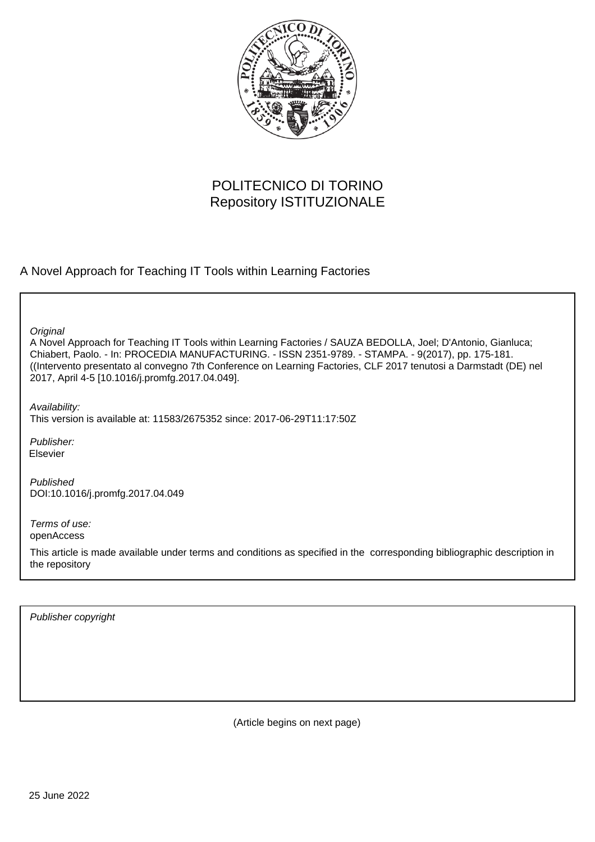

## POLITECNICO DI TORINO Repository ISTITUZIONALE

A Novel Approach for Teaching IT Tools within Learning Factories

**Original** 

A Novel Approach for Teaching IT Tools within Learning Factories / SAUZA BEDOLLA, Joel; D'Antonio, Gianluca; Chiabert, Paolo. - In: PROCEDIA MANUFACTURING. - ISSN 2351-9789. - STAMPA. - 9(2017), pp. 175-181. ((Intervento presentato al convegno 7th Conference on Learning Factories, CLF 2017 tenutosi a Darmstadt (DE) nel 2017, April 4-5 [10.1016/j.promfg.2017.04.049].

Availability:

This version is available at: 11583/2675352 since: 2017-06-29T11:17:50Z

Publisher: Elsevier

Published DOI:10.1016/j.promfg.2017.04.049

Terms of use: openAccess

This article is made available under terms and conditions as specified in the corresponding bibliographic description in the repository

Publisher copyright

(Article begins on next page)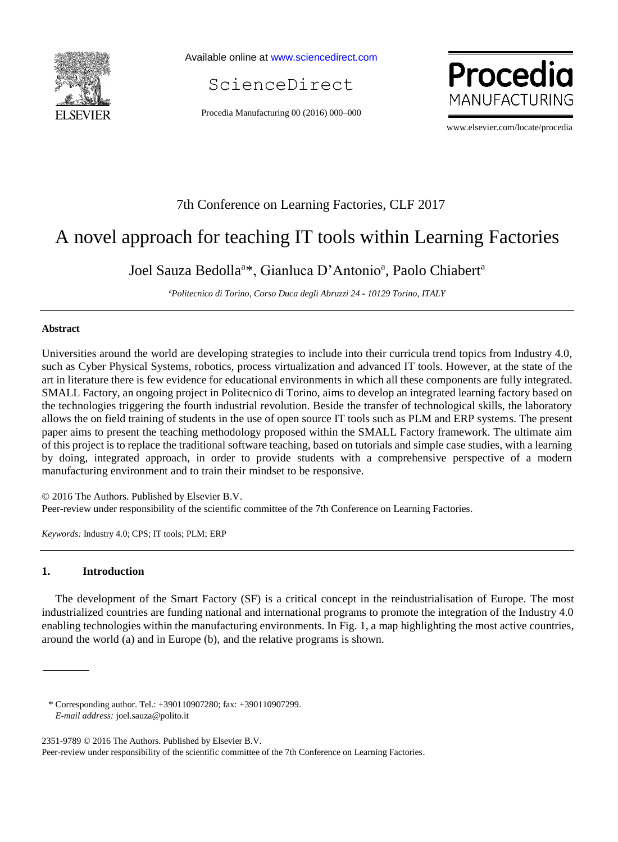

Available online a[t www.sciencedirect.com](http://www.sciencedirect.com/science/journal/22120173)

ScienceDirect

Procedia Manufacturing 00 (2016) 000–000



www.elsevier.com/locate/procedia

### 7th Conference on Learning Factories, CLF 2017

# A novel approach for teaching IT tools within Learning Factories

Joel Sauza Bedolla<sup>a\*</sup>, Gianluca D'Antonio<sup>a</sup>, Paolo Chiabert<sup>a</sup>

*<sup>a</sup>Politecnico di Torino, Corso Duca degli Abruzzi 24 - 10129 Torino, ITALY*

#### **Abstract**

Universities around the world are developing strategies to include into their curricula trend topics from Industry 4.0, such as Cyber Physical Systems, robotics, process virtualization and advanced IT tools. However, at the state of the art in literature there is few evidence for educational environments in which all these components are fully integrated. SMALL Factory, an ongoing project in Politecnico di Torino, aims to develop an integrated learning factory based on the technologies triggering the fourth industrial revolution. Beside the transfer of technological skills, the laboratory allows the on field training of students in the use of open source IT tools such as PLM and ERP systems. The present paper aims to present the teaching methodology proposed within the SMALL Factory framework. The ultimate aim of this project is to replace the traditional software teaching, based on tutorials and simple case studies, with a learning by doing, integrated approach, in order to provide students with a comprehensive perspective of a modern manufacturing environment and to train their mindset to be responsive.

© 2016 The Authors. Published by Elsevier B.V.

Peer-review under responsibility of the scientific committee of the 7th Conference on Learning Factories.

*Keywords:* Industry 4.0; CPS; IT tools; PLM; ERP

#### **1. Introduction**

The development of the Smart Factory (SF) is a critical concept in the reindustrialisation of Europe. The most industrialized countries are funding national and international programs to promote the integration of the Industry 4.0 enabling technologies within the manufacturing environments. In [Fig.](#page-2-0) 1, a map highlighting the most active countries, around the world (a) and in Europe (b), and the relative programs is shown.

<sup>\*</sup> Corresponding author. Tel.: +390110907280; fax: +390110907299. *E-mail address:* joel.sauza@polito.it

<sup>2351-9789</sup> © 2016 The Authors. Published by Elsevier B.V. Peer-review under responsibility of the scientific committee of the 7th Conference on Learning Factories.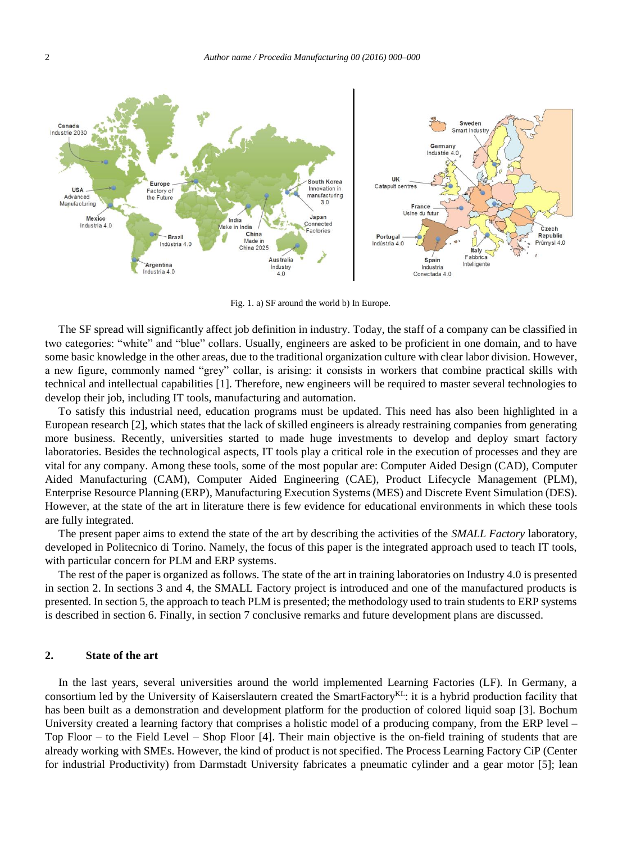

Fig. 1. a) SF around the world b) In Europe.

<span id="page-2-0"></span>The SF spread will significantly affect job definition in industry. Today, the staff of a company can be classified in two categories: "white" and "blue" collars. Usually, engineers are asked to be proficient in one domain, and to have some basic knowledge in the other areas, due to the traditional organization culture with clear labor division. However, a new figure, commonly named "grey" collar, is arising: it consists in workers that combine practical skills with technical and intellectual capabilities [1]. Therefore, new engineers will be required to master several technologies to develop their job, including IT tools, manufacturing and automation.

To satisfy this industrial need, education programs must be updated. This need has also been highlighted in a European research [2], which states that the lack of skilled engineers is already restraining companies from generating more business. Recently, universities started to made huge investments to develop and deploy smart factory laboratories. Besides the technological aspects, IT tools play a critical role in the execution of processes and they are vital for any company. Among these tools, some of the most popular are: Computer Aided Design (CAD), Computer Aided Manufacturing (CAM), Computer Aided Engineering (CAE), Product Lifecycle Management (PLM), Enterprise Resource Planning (ERP), Manufacturing Execution Systems (MES) and Discrete Event Simulation (DES). However, at the state of the art in literature there is few evidence for educational environments in which these tools are fully integrated.

The present paper aims to extend the state of the art by describing the activities of the *SMALL Factory* laboratory, developed in Politecnico di Torino. Namely, the focus of this paper is the integrated approach used to teach IT tools, with particular concern for PLM and ERP systems.

The rest of the paper is organized as follows. The state of the art in training laboratories on Industry 4.0 is presented in section 2. In sections 3 and 4, the SMALL Factory project is introduced and one of the manufactured products is presented. In section 5, the approach to teach PLM is presented; the methodology used to train students to ERP systems is described in section 6. Finally, in section 7 conclusive remarks and future development plans are discussed.

#### **2. State of the art**

In the last years, several universities around the world implemented Learning Factories (LF). In Germany, a consortium led by the University of Kaiserslautern created the SmartFactoryKL: it is a hybrid production facility that has been built as a demonstration and development platform for the production of colored liquid soap [3]. Bochum University created a learning factory that comprises a holistic model of a producing company, from the ERP level – Top Floor – to the Field Level – Shop Floor [4]. Their main objective is the on-field training of students that are already working with SMEs. However, the kind of product is not specified. The Process Learning Factory CiP (Center for industrial Productivity) from Darmstadt University fabricates a pneumatic cylinder and a gear motor [5]; lean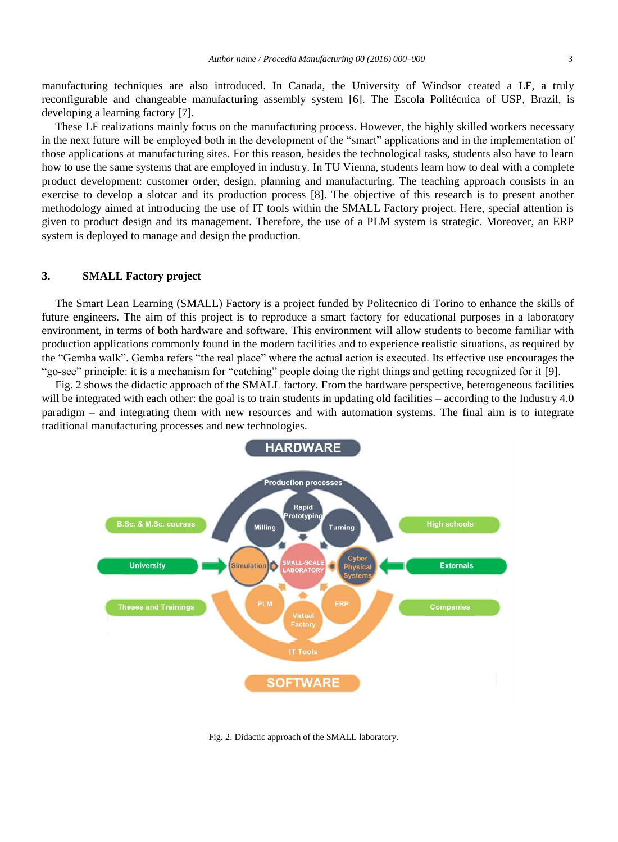manufacturing techniques are also introduced. In Canada, the University of Windsor created a LF, a truly reconfigurable and changeable manufacturing assembly system [6]. The Escola Politécnica of USP, Brazil, is developing a learning factory [7].

These LF realizations mainly focus on the manufacturing process. However, the highly skilled workers necessary in the next future will be employed both in the development of the "smart" applications and in the implementation of those applications at manufacturing sites. For this reason, besides the technological tasks, students also have to learn how to use the same systems that are employed in industry. In TU Vienna, students learn how to deal with a complete product development: customer order, design, planning and manufacturing. The teaching approach consists in an exercise to develop a slotcar and its production process [8]. The objective of this research is to present another methodology aimed at introducing the use of IT tools within the SMALL Factory project. Here, special attention is given to product design and its management. Therefore, the use of a PLM system is strategic. Moreover, an ERP system is deployed to manage and design the production.

#### **3. SMALL Factory project**

The Smart Lean Learning (SMALL) Factory is a project funded by Politecnico di Torino to enhance the skills of future engineers. The aim of this project is to reproduce a smart factory for educational purposes in a laboratory environment, in terms of both hardware and software. This environment will allow students to become familiar with production applications commonly found in the modern facilities and to experience realistic situations, as required by the "Gemba walk". Gemba refers "the real place" where the actual action is executed. Its effective use encourages the "go-see" principle: it is a mechanism for "catching" people doing the right things and getting recognized for it [9].

[Fig. 2](#page-3-0) shows the didactic approach of the SMALL factory. From the hardware perspective, heterogeneous facilities will be integrated with each other: the goal is to train students in updating old facilities – according to the Industry 4.0 paradigm – and integrating them with new resources and with automation systems. The final aim is to integrate traditional manufacturing processes and new technologies.



<span id="page-3-0"></span>Fig. 2. Didactic approach of the SMALL laboratory.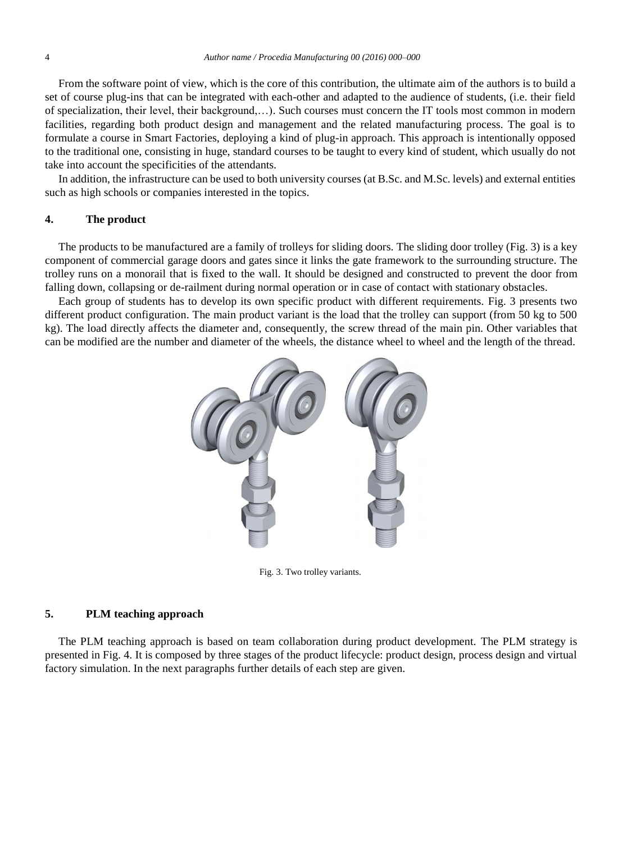From the software point of view, which is the core of this contribution, the ultimate aim of the authors is to build a set of course plug-ins that can be integrated with each-other and adapted to the audience of students, (i.e. their field of specialization, their level, their background,…). Such courses must concern the IT tools most common in modern facilities, regarding both product design and management and the related manufacturing process. The goal is to formulate a course in Smart Factories, deploying a kind of plug-in approach. This approach is intentionally opposed to the traditional one, consisting in huge, standard courses to be taught to every kind of student, which usually do not take into account the specificities of the attendants.

In addition, the infrastructure can be used to both university courses (at B.Sc. and M.Sc. levels) and external entities such as high schools or companies interested in the topics.

#### **4. The product**

The products to be manufactured are a family of trolleys for sliding doors. The sliding door trolley [\(Fig.](#page-4-0) 3) is a key component of commercial garage doors and gates since it links the gate framework to the surrounding structure. The trolley runs on a monorail that is fixed to the wall. It should be designed and constructed to prevent the door from falling down, collapsing or de-railment during normal operation or in case of contact with stationary obstacles.

Each group of students has to develop its own specific product with different requirements. [Fig.](#page-4-0) 3 presents two different product configuration. The main product variant is the load that the trolley can support (from 50 kg to 500 kg). The load directly affects the diameter and, consequently, the screw thread of the main pin. Other variables that can be modified are the number and diameter of the wheels, the distance wheel to wheel and the length of the thread.



<span id="page-4-0"></span>Fig. 3. Two trolley variants.

#### **5. PLM teaching approach**

The PLM teaching approach is based on team collaboration during product development. The PLM strategy is presented in [Fig.](#page-5-0) 4. It is composed by three stages of the product lifecycle: product design, process design and virtual factory simulation. In the next paragraphs further details of each step are given.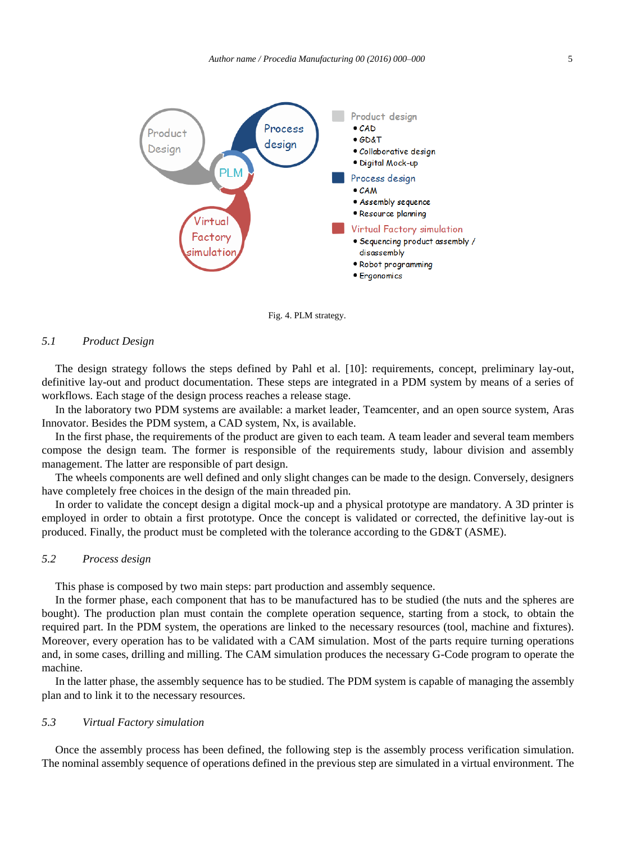



#### <span id="page-5-0"></span>*5.1 Product Design*

The design strategy follows the steps defined by Pahl et al. [10]: requirements, concept, preliminary lay-out, definitive lay-out and product documentation. These steps are integrated in a PDM system by means of a series of workflows. Each stage of the design process reaches a release stage.

In the laboratory two PDM systems are available: a market leader, Teamcenter, and an open source system, Aras Innovator. Besides the PDM system, a CAD system, Nx, is available.

In the first phase, the requirements of the product are given to each team. A team leader and several team members compose the design team. The former is responsible of the requirements study, labour division and assembly management. The latter are responsible of part design.

The wheels components are well defined and only slight changes can be made to the design. Conversely, designers have completely free choices in the design of the main threaded pin.

In order to validate the concept design a digital mock-up and a physical prototype are mandatory. A 3D printer is employed in order to obtain a first prototype. Once the concept is validated or corrected, the definitive lay-out is produced. Finally, the product must be completed with the tolerance according to the GD&T (ASME).

#### *5.2 Process design*

This phase is composed by two main steps: part production and assembly sequence.

In the former phase, each component that has to be manufactured has to be studied (the nuts and the spheres are bought). The production plan must contain the complete operation sequence, starting from a stock, to obtain the required part. In the PDM system, the operations are linked to the necessary resources (tool, machine and fixtures). Moreover, every operation has to be validated with a CAM simulation. Most of the parts require turning operations and, in some cases, drilling and milling. The CAM simulation produces the necessary G-Code program to operate the machine.

In the latter phase, the assembly sequence has to be studied. The PDM system is capable of managing the assembly plan and to link it to the necessary resources.

#### *5.3 Virtual Factory simulation*

Once the assembly process has been defined, the following step is the assembly process verification simulation. The nominal assembly sequence of operations defined in the previous step are simulated in a virtual environment. The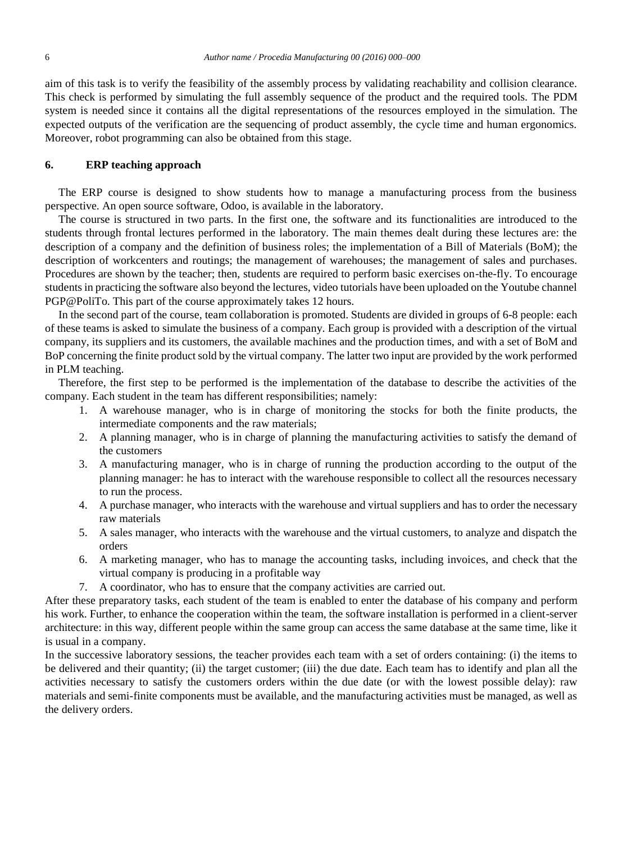aim of this task is to verify the feasibility of the assembly process by validating reachability and collision clearance. This check is performed by simulating the full assembly sequence of the product and the required tools. The PDM system is needed since it contains all the digital representations of the resources employed in the simulation. The expected outputs of the verification are the sequencing of product assembly, the cycle time and human ergonomics. Moreover, robot programming can also be obtained from this stage.

#### **6. ERP teaching approach**

The ERP course is designed to show students how to manage a manufacturing process from the business perspective. An open source software, Odoo, is available in the laboratory.

The course is structured in two parts. In the first one, the software and its functionalities are introduced to the students through frontal lectures performed in the laboratory. The main themes dealt during these lectures are: the description of a company and the definition of business roles; the implementation of a Bill of Materials (BoM); the description of workcenters and routings; the management of warehouses; the management of sales and purchases. Procedures are shown by the teacher; then, students are required to perform basic exercises on-the-fly. To encourage students in practicing the software also beyond the lectures, video tutorials have been uploaded on the Youtube channel PGP@PoliTo. This part of the course approximately takes 12 hours.

In the second part of the course, team collaboration is promoted. Students are divided in groups of 6-8 people: each of these teams is asked to simulate the business of a company. Each group is provided with a description of the virtual company, its suppliers and its customers, the available machines and the production times, and with a set of BoM and BoP concerning the finite product sold by the virtual company. The latter two input are provided by the work performed in PLM teaching.

Therefore, the first step to be performed is the implementation of the database to describe the activities of the company. Each student in the team has different responsibilities; namely:

- 1. A warehouse manager, who is in charge of monitoring the stocks for both the finite products, the intermediate components and the raw materials;
- 2. A planning manager, who is in charge of planning the manufacturing activities to satisfy the demand of the customers
- 3. A manufacturing manager, who is in charge of running the production according to the output of the planning manager: he has to interact with the warehouse responsible to collect all the resources necessary to run the process.
- 4. A purchase manager, who interacts with the warehouse and virtual suppliers and has to order the necessary raw materials
- 5. A sales manager, who interacts with the warehouse and the virtual customers, to analyze and dispatch the orders
- 6. A marketing manager, who has to manage the accounting tasks, including invoices, and check that the virtual company is producing in a profitable way
- 7. A coordinator, who has to ensure that the company activities are carried out.

After these preparatory tasks, each student of the team is enabled to enter the database of his company and perform his work. Further, to enhance the cooperation within the team, the software installation is performed in a client-server architecture: in this way, different people within the same group can access the same database at the same time, like it is usual in a company.

In the successive laboratory sessions, the teacher provides each team with a set of orders containing: (i) the items to be delivered and their quantity; (ii) the target customer; (iii) the due date. Each team has to identify and plan all the activities necessary to satisfy the customers orders within the due date (or with the lowest possible delay): raw materials and semi-finite components must be available, and the manufacturing activities must be managed, as well as the delivery orders.